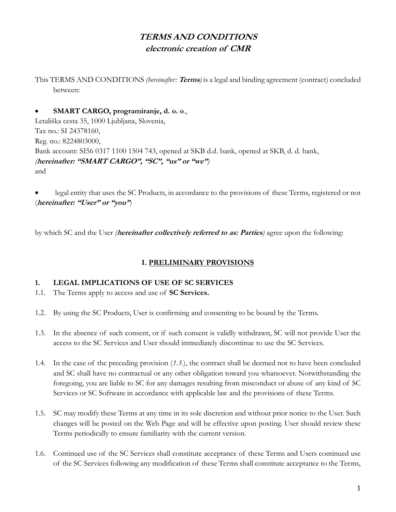# **TERMS AND CONDITIONS electronic creation of CMR**

This TERMS AND CONDITIONS *(hereinafter:* **Terms***)* is a legal and binding agreement (contract) concluded between:

### • **SMART CARGO, programiranje, d. o. o**.,

Letališka cesta 35, 1000 Ljubljana, Slovenia, Tax no.: SI 24378160, Reg. no.: 8224803000, Bank account: SI56 0317 1100 1504 743, opened at SKB d.d. bank, opened at SKB, d. d. bank, *(***hereinafter: "SMART CARGO", "SC", "us" or "we"***)* and

• legal entity that uses the SC Products, in accordance to the provisions of these Terms, registered or not (**hereinafter: "User" or "you"**)

by which SC and the User *(***hereinafter collectively referred to as: Parties***)* agree upon the following:

# **I. PRELIMINARY PROVISIONS**

# **1. LEGAL IMPLICATIONS OF USE OF SC SERVICES**

- 1.1. The Terms apply to access and use of **SC Services.**
- 1.2. By using the SC Products, User is confirming and consenting to be bound by the Terms.
- 1.3. In the absence of such consent, or if such consent is validly withdrawn, SC will not provide User the access to the SC Services and User should immediately discontinue to use the SC Services.
- 1.4. In the case of the preceding provision (*1.3.*), the contract shall be deemed not to have been concluded and SC shall have no contractual or any other obligation toward you whatsoever. Notwithstanding the foregoing, you are liable to SC for any damages resulting from misconduct or abuse of any kind of SC Services or SC Software in accordance with applicable law and the provisions of these Terms.
- 1.5. SC may modify these Terms at any time in its sole discretion and without prior notice to the User. Such changes will be posted on the Web Page and will be effective upon posting. User should review these Terms periodically to ensure familiarity with the current version.
- 1.6. Continued use of the SC Services shall constitute acceptance of these Terms and Users continued use of the SC Services following any modification of these Terms shall constitute acceptance to the Terms,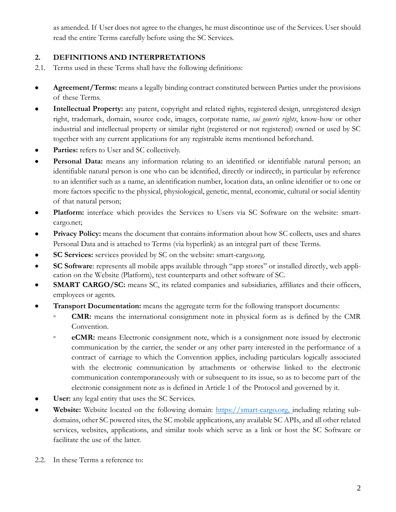as amended. If User does not agree to the changes, he must discontinue use of the Services. User should read the entire Terms carefully before using the SC Services.

# **2. DEFINITIONS AND INTERPRETATIONS**

- 2.1. Terms used in these Terms shall have the following definitions:
- **Agreement/Terms:** means a legally binding contract constituted between Parties under the provisions of these Terms.
- **Intellectual Property:** any patent, copyright and related rights, registered design, unregistered design right, trademark, domain, source code, images, corporate name, *sui generis rights*, know-how or other industrial and intellectual property or similar right (registered or not registered) owned or used by SC together with any current applications for any registrable items mentioned beforehand.
- Parties: refers to User and SC collectively.
- **Personal Data:** means any information relating to an identified or identifiable natural person; an identifiable natural person is one who can be identified, directly or indirectly, in particular by reference to an identifier such as a name, an identification number, location data, an online identifier or to one or more factors specific to the physical, physiological, genetic, mental, economic, cultural or social identity of that natural person;
- Platform: interface which provides the Services to Users via SC Software on the website: smartcargo.net;
- **Privacy Policy:** means the document that contains information about how SC collects, uses and shares Personal Data and is attached to Terms (via hyperlink) as an integral part of these Terms.
- **SC Services:** services provided by SC on the website: smart-cargo.org.
- **SC Software**: represents all mobile apps available through "app stores" or installed directly, web application on the Website (Platform), test counterparts and other software of SC.
- **SMART CARGO/SC:** means SC, its related companies and subsidiaries, affiliates and their officers, employees or agents.
- **Transport Documentation:** means the aggregate term for the following transport documents:
	- **CMR:** means the international consignment note in physical form as is defined by the CMR Convention.
	- **eCMR:** means Electronic consignment note, which is a consignment note issued by electronic communication by the carrier, the sender or any other party interested in the performance of a contract of carriage to which the Convention applies, including particulars logically associated with the electronic communication by attachments or otherwise linked to the electronic communication contemporaneously with or subsequent to its issue, so as to become part of the electronic consignment note as is defined in Article 1 of the Protocol and governed by it.
- User: any legal entity that uses the SC Services.
- **Website:** Website located on the following domain: [https://smart-cargo.org,](https://smart-cargo.org,/) including relating subdomains, other SC powered sites, the SC mobile applications, any available SC APIs, and all other related services, websites, applications, and similar tools which serve as a link or host the SC Software or facilitate the use of the latter.
- 2.2. In these Terms a reference to: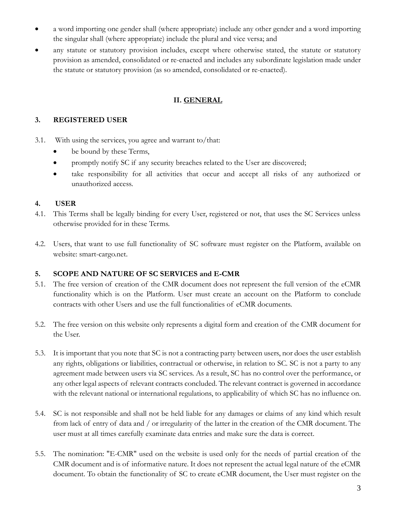- a word importing one gender shall (where appropriate) include any other gender and a word importing the singular shall (where appropriate) include the plural and vice versa; and
- any statute or statutory provision includes, except where otherwise stated, the statute or statutory provision as amended, consolidated or re-enacted and includes any subordinate legislation made under the statute or statutory provision (as so amended, consolidated or re-enacted).

### **II. GENERAL**

### **3. REGISTERED USER**

- 3.1. With using the services, you agree and warrant to/that:
	- be bound by these Terms,
	- promptly notify SC if any security breaches related to the User are discovered;
	- take responsibility for all activities that occur and accept all risks of any authorized or unauthorized access.

### **4. USER**

- 4.1. This Terms shall be legally binding for every User, registered or not, that uses the SC Services unless otherwise provided for in these Terms.
- 4.2. Users, that want to use full functionality of SC software must register on the Platform, available on website: smart-cargo.net.

### **5. SCOPE AND NATURE OF SC SERVICES and E-CMR**

- 5.1. The free version of creation of the CMR document does not represent the full version of the eCMR functionality which is on the Platform. User must create an account on the Platform to conclude contracts with other Users and use the full functionalities of eCMR documents.
- 5.2. The free version on this website only represents a digital form and creation of the CMR document for the User.
- 5.3. It is important that you note that SC is not a contracting party between users, nor does the user establish any rights, obligations or liabilities, contractual or otherwise, in relation to SC. SC is not a party to any agreement made between users via SC services. As a result, SC has no control over the performance, or any other legal aspects of relevant contracts concluded. The relevant contract is governed in accordance with the relevant national or international regulations, to applicability of which SC has no influence on.
- 5.4. SC is not responsible and shall not be held liable for any damages or claims of any kind which result from lack of entry of data and / or irregularity of the latter in the creation of the CMR document. The user must at all times carefully examinate data entries and make sure the data is correct.
- 5.5. The nomination: "E-CMR" used on the website is used only for the needs of partial creation of the CMR document and is of informative nature. It does not represent the actual legal nature of the eCMR document. To obtain the functionality of SC to create eCMR document, the User must register on the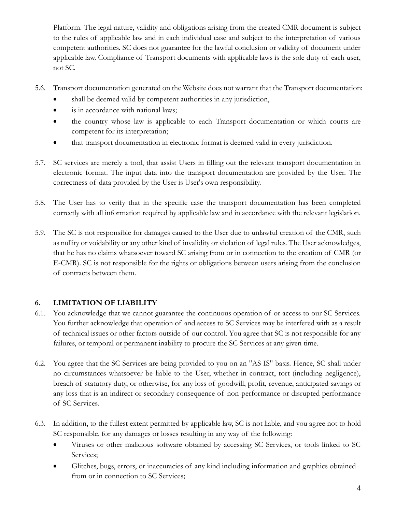Platform. The legal nature, validity and obligations arising from the created CMR document is subject to the rules of applicable law and in each individual case and subject to the interpretation of various competent authorities. SC does not guarantee for the lawful conclusion or validity of document under applicable law. Compliance of Transport documents with applicable laws is the sole duty of each user, not SC.

- 5.6. Transport documentation generated on the Website does not warrant that the Transport documentation:
	- shall be deemed valid by competent authorities in any jurisdiction,
	- is in accordance with national laws;
	- the country whose law is applicable to each Transport documentation or which courts are competent for its interpretation;
	- that transport documentation in electronic format is deemed valid in every jurisdiction.
- 5.7. SC services are merely a tool, that assist Users in filling out the relevant transport documentation in electronic format. The input data into the transport documentation are provided by the User. The correctness of data provided by the User is User's own responsibility.
- 5.8. The User has to verify that in the specific case the transport documentation has been completed correctly with all information required by applicable law and in accordance with the relevant legislation.
- 5.9. The SC is not responsible for damages caused to the User due to unlawful creation of the CMR, such as nullity or voidability or any other kind of invalidity or violation of legal rules. The User acknowledges, that he has no claims whatsoever toward SC arising from or in connection to the creation of CMR (or E-CMR). SC is not responsible for the rights or obligations between users arising from the conclusion of contracts between them.

# **6. LIMITATION OF LIABILITY**

- 6.1. You acknowledge that we cannot guarantee the continuous operation of or access to our SC Services. You further acknowledge that operation of and access to SC Services may be interfered with as a result of technical issues or other factors outside of our control. You agree that SC is not responsible for any failures, or temporal or permanent inability to procure the SC Services at any given time.
- 6.2. You agree that the SC Services are being provided to you on an "AS IS" basis. Hence, SC shall under no circumstances whatsoever be liable to the User, whether in contract, tort (including negligence), breach of statutory duty, or otherwise, for any loss of goodwill, profit, revenue, anticipated savings or any loss that is an indirect or secondary consequence of non-performance or disrupted performance of SC Services.
- 6.3. In addition, to the fullest extent permitted by applicable law, SC is not liable, and you agree not to hold SC responsible, for any damages or losses resulting in any way of the following:
	- Viruses or other malicious software obtained by accessing SC Services, or tools linked to SC Services;
	- Glitches, bugs, errors, or inaccuracies of any kind including information and graphics obtained from or in connection to SC Services;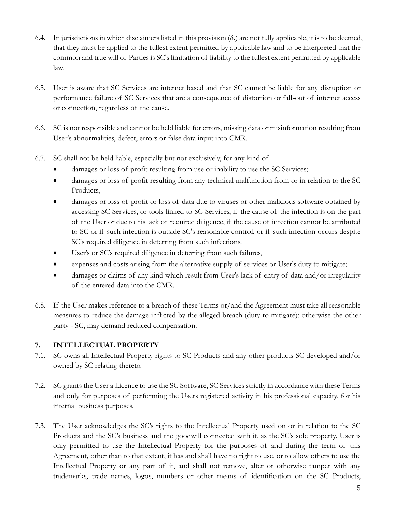- 6.4. In jurisdictions in which disclaimers listed in this provision (*6.*) are not fully applicable, it is to be deemed, that they must be applied to the fullest extent permitted by applicable law and to be interpreted that the common and true will of Parties is SC's limitation of liability to the fullest extent permitted by applicable law.
- 6.5. User is aware that SC Services are internet based and that SC cannot be liable for any disruption or performance failure of SC Services that are a consequence of distortion or fall-out of internet access or connection, regardless of the cause.
- 6.6. SC is not responsible and cannot be held liable for errors, missing data or misinformation resulting from User's abnormalities, defect, errors or false data input into CMR.
- 6.7. SC shall not be held liable, especially but not exclusively, for any kind of:
	- damages or loss of profit resulting from use or inability to use the SC Services;
	- damages or loss of profit resulting from any technical malfunction from or in relation to the SC Products,
	- damages or loss of profit or loss of data due to viruses or other malicious software obtained by accessing SC Services, or tools linked to SC Services, if the cause of the infection is on the part of the User or due to his lack of required diligence, if the cause of infection cannot be attributed to SC or if such infection is outside SC's reasonable control, or if such infection occurs despite SC's required diligence in deterring from such infections.
	- User's or SC's required diligence in deterring from such failures,
	- expenses and costs arising from the alternative supply of services or User's duty to mitigate;
	- damages or claims of any kind which result from User's lack of entry of data and/or irregularity of the entered data into the CMR.
- 6.8. If the User makes reference to a breach of these Terms or/and the Agreement must take all reasonable measures to reduce the damage inflicted by the alleged breach (duty to mitigate); otherwise the other party - SC, may demand reduced compensation.

### **7. INTELLECTUAL PROPERTY**

- 7.1. SC owns all Intellectual Property rights to SC Products and any other products SC developed and/or owned by SC relating thereto.
- 7.2. SC grants the User a Licence to use the SC Software, SC Services strictly in accordance with these Terms and only for purposes of performing the Users registered activity in his professional capacity, for his internal business purposes.
- 7.3. The User acknowledges the SC's rights to the Intellectual Property used on or in relation to the SC Products and the SC's business and the goodwill connected with it, as the SC's sole property. User is only permitted to use the Intellectual Property for the purposes of and during the term of this Agreement**,** other than to that extent, it has and shall have no right to use, or to allow others to use the Intellectual Property or any part of it, and shall not remove, alter or otherwise tamper with any trademarks, trade names, logos, numbers or other means of identification on the SC Products,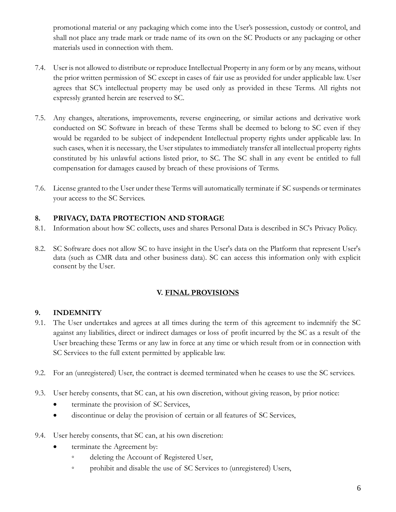promotional material or any packaging which come into the User's possession, custody or control, and shall not place any trade mark or trade name of its own on the SC Products or any packaging or other materials used in connection with them.

- 7.4. User is not allowed to distribute or reproduce Intellectual Property in any form or by any means, without the prior written permission of SC except in cases of fair use as provided for under applicable law. User agrees that SC's intellectual property may be used only as provided in these Terms. All rights not expressly granted herein are reserved to SC.
- 7.5. Any changes, alterations, improvements, reverse engineering, or similar actions and derivative work conducted on SC Software in breach of these Terms shall be deemed to belong to SC even if they would be regarded to be subject of independent Intellectual property rights under applicable law. In such cases, when it is necessary, the User stipulates to immediately transfer all intellectual property rights constituted by his unlawful actions listed prior, to SC. The SC shall in any event be entitled to full compensation for damages caused by breach of these provisions of Terms.
- 7.6. License granted to the User under these Terms will automatically terminate if SC suspends or terminates your access to the SC Services.

# **8. PRIVACY, DATA PROTECTION AND STORAGE**

- 8.1. Information about how SC collects, uses and shares Personal Data is described in SC's Privacy Policy.
- 8.2. SC Software does not allow SC to have insight in the User's data on the Platform that represent User's data (such as CMR data and other business data). SC can access this information only with explicit consent by the User.

### **V. FINAL PROVISIONS**

# **9. INDEMNITY**

- 9.1. The User undertakes and agrees at all times during the term of this agreement to indemnify the SC against any liabilities, direct or indirect damages or loss of profit incurred by the SC as a result of the User breaching these Terms or any law in force at any time or which result from or in connection with SC Services to the full extent permitted by applicable law.
- 9.2. For an (unregistered) User, the contract is deemed terminated when he ceases to use the SC services.
- 9.3. User hereby consents, that SC can, at his own discretion, without giving reason, by prior notice:
	- terminate the provision of SC Services,
	- discontinue or delay the provision of certain or all features of SC Services,
- 9.4. User hereby consents, that SC can, at his own discretion:
	- terminate the Agreement by:
		- deleting the Account of Registered User,
		- prohibit and disable the use of SC Services to (unregistered) Users,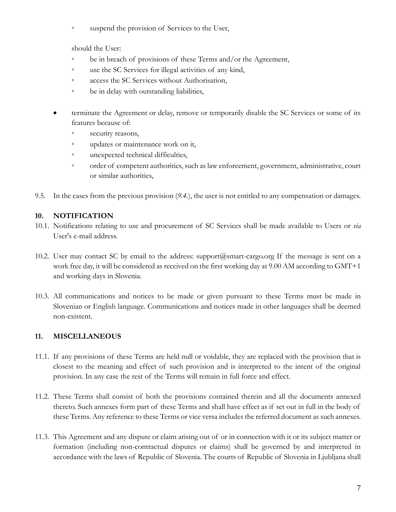◦ suspend the provision of Services to the User,

should the User:

- be in breach of provisions of these Terms and/or the Agreement,
- use the SC Services for illegal activities of any kind,
- access the SC Services without Authorisation,
- be in delay with outstanding liabilities,
- terminate the Agreement or delay, remove or temporarily disable the SC Services or some of its features because of:
	- security reasons,
	- updates or maintenance work on it,
	- unexpected technical difficulties,
	- order of competent authorities, such as law enforcement, government, administrative, court or similar authorities,
- 9.5. In the cases from the previous provision (*9.4.*), the user is not entitled to any compensation or damages.

### **10. NOTIFICATION**

- 10.1. Notifications relating to use and procurement of SC Services shall be made available to Users or *via*  User's e-mail address.
- 10.2. User may contact SC by email to the address: support $(a)$ smart-cargo.org If the message is sent on a work free day, it will be considered as received on the first working day at 9.00 AM according to GMT+1 and working days in Slovenia.
- 10.3. All communications and notices to be made or given pursuant to these Terms must be made in Slovenian or English language. Communications and notices made in other languages shall be deemed non-existent.

# **11. MISCELLANEOUS**

- 11.1. If any provisions of these Terms are held null or voidable, they are replaced with the provision that is closest to the meaning and effect of such provision and is interpreted to the intent of the original provision. In any case the rest of the Terms will remain in full force and effect.
- 11.2. These Terms shall consist of both the provisions contained therein and all the documents annexed thereto. Such annexes form part of these Terms and shall have effect as if set out in full in the body of these Terms. Any reference to these Terms or vice versa includes the referred document as such annexes.
- 11.3. This Agreement and any dispute or claim arising out of or in connection with it or its subject matter or formation (including non-contractual disputes or claims) shall be governed by and interpreted in accordance with the laws of Republic of Slovenia. The courts of Republic of Slovenia in Ljubljana shall